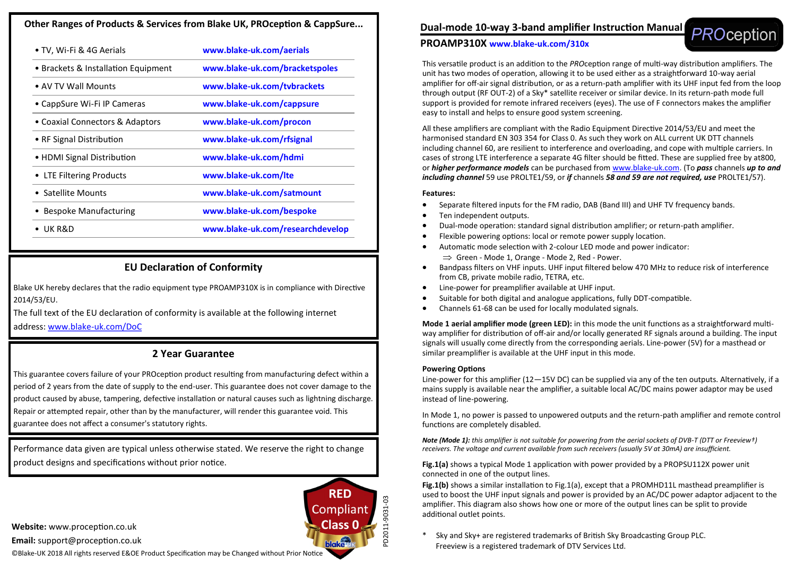# **Other Ranges of Products & Services from Blake UK, PROception & CappSure...**

| • TV, Wi-Fi & 4G Aerials            | www.blake-uk.com/aerials         |
|-------------------------------------|----------------------------------|
| • Brackets & Installation Equipment | www.blake-uk.com/bracketspoles   |
| • AV TV Wall Mounts                 | www.blake-uk.com/tybrackets      |
| • CappSure Wi-Fi IP Cameras         | www.blake-uk.com/cappsure        |
| • Coaxial Connectors & Adaptors     | www.blake-uk.com/procon          |
| • RF Signal Distribution            | www.blake-uk.com/rfsignal        |
| • HDMI Signal Distribution          | www.blake-uk.com/hdmi            |
| • LTE Filtering Products            | www.blake-uk.com/Ite             |
| Satellite Mounts                    | www.blake-uk.com/satmount        |
| <b>Bespoke Manufacturing</b>        | www.blake-uk.com/bespoke         |
| UK R&D                              | www.blake-uk.com/researchdevelop |
|                                     |                                  |

# **EU Declaration of Conformity**

Blake UK hereby declares that the radio equipment type PROAMP310X is in compliance with Directive 2014/53/EU.

The full text of the EU declaration of conformity is available at the following internet address: www.blake-[uk.com/DoC](http://www.blake-uk.com/DoC)

# **2 Year Guarantee**

This guarantee covers failure of your PROception product resulting from manufacturing defect within a period of 2 years from the date of supply to the end-user. This guarantee does not cover damage to the product caused by abuse, tampering, defective installation or natural causes such as lightning discharge. Repair or attempted repair, other than by the manufacturer, will render this guarantee void. This guarantee does not affect a consumer's statutory rights.

Performance data given are typical unless otherwise stated. We reserve the right to change product designs and specifications without prior notice.

**Website:** www.proception.co.uk

**Email:** support@proception.co.uk

©Blake-UK 2018 All rights reserved E&OE Product Specification may be Changed without Prior Notice



# **PROAMP310X www.blake-uk.com/310x**

This versatile product is an addition to the *PRO*ception range of multi-way distribution amplifiers. The unit has two modes of operation, allowing it to be used either as a straightforward 10-way aerial amplifier for off-air signal distribution, or as a return-path amplifier with its UHF input fed from the loop through output (RF OUT-2) of a Sky\* satellite receiver or similar device. In its return-path mode full support is provided for remote infrared receivers (eyes). The use of F connectors makes the amplifier easy to install and helps to ensure good system screening.

All these amplifiers are compliant with the Radio Equipment Directive 2014/53/EU and meet the harmonised standard EN 303 354 for Class 0. As such they work on ALL current UK DTT channels including channel 60, are resilient to interference and overloading, and cope with multiple carriers. In cases of strong LTE interference a separate 4G filter should be fitted. These are supplied free by at800, or *higher performance models* can be purchased from www.blake-uk.com. (To *pass* channels *up to and including channel* 59 use PROLTE1/59, or *if* channels *58 and 59 are not required, use* PROLTE1/57).

# **Features:**

- Separate filtered inputs for the FM radio, DAB (Band III) and UHF TV frequency bands.
- Ten independent outputs.
- Dual-mode operation: standard signal distribution amplifier; or return-path amplifier.
- Flexible powering options: local or remote power supply location.
- Automatic mode selection with 2-colour LED mode and power indicator:  $\Rightarrow$  Green - Mode 1, Orange - Mode 2, Red - Power.
- Bandpass filters on VHF inputs. UHF input filtered below 470 MHz to reduce risk of interference from CB, private mobile radio, TETRA, etc.
- Line-power for preamplifier available at UHF input.
- Suitable for both digital and analogue applications, fully DDT-compatible.
- Channels 61-68 can be used for locally modulated signals.

**Mode 1 aerial amplifier mode (green LED):** in this mode the unit functions as a straightforward multiway amplifier for distribution of off-air and/or locally generated RF signals around a building. The input signals will usually come directly from the corresponding aerials. Line-power (5V) for a masthead or similar preamplifier is available at the UHF input in this mode.

# **Powering Options**

Line-power for this amplifier (12—15V DC) can be supplied via any of the ten outputs. Alternatively, if a mains supply is available near the amplifier, a suitable local AC/DC mains power adaptor may be used instead of line-powering.

In Mode 1, no power is passed to unpowered outputs and the return-path amplifier and remote control functions are completely disabled.

*Note (Mode 1): this amplifier is not suitable for powering from the aerial sockets of DVB-T (DTT or Freeview†) receivers. The voltage and current available from such receivers (usually 5V at 30mA) are insufficient.*

**Fig.1(a)** shows a typical Mode 1 application with power provided by a PROPSU112X power unit connected in one of the output lines.

**Fig.1(b)** shows a similar installation to Fig.1(a), except that a PROMHD11L masthead preamplifier is used to boost the UHF input signals and power is provided by an AC/DC power adaptor adjacent to the amplifier. This diagram also shows how one or more of the output lines can be split to provide additional outlet points.

Sky and Sky+ are registered trademarks of British Sky Broadcasting Group PLC. Freeview is a registered trademark of DTV Services Ltd.



PD2011-9031-03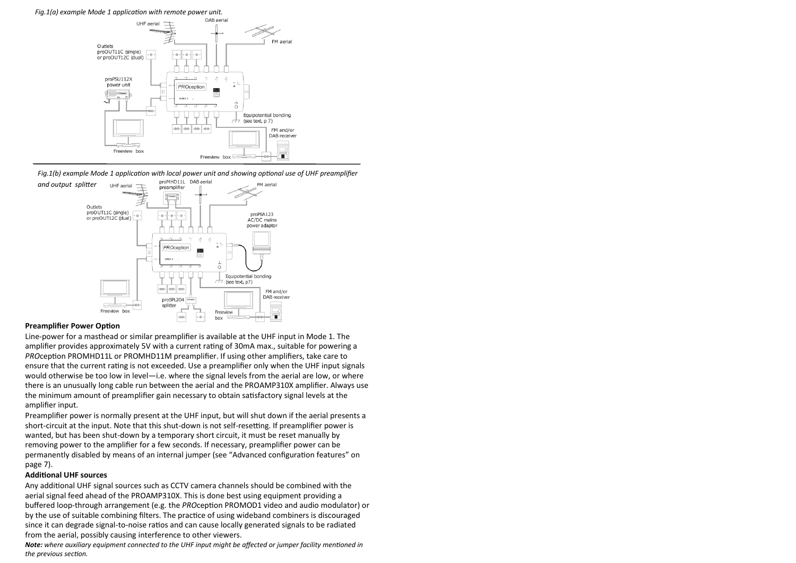*Fig.1(a) example Mode 1 application with remote power unit.*



*Fig.1(b) example Mode 1 application with local power unit and showing optional use of UHF preamplifier* 



#### **Preamplifier Power Option**

Line-power for a masthead or similar preamplifier is available at the UHF input in Mode 1. The amplifier provides approximately 5V with a current rating of 30mA max., suitable for powering a *PRO*ception PROMHD11L or PROMHD11M preamplifier. If using other amplifiers, take care to ensure that the current rating is not exceeded. Use a preamplifier only when the UHF input signals would otherwise be too low in level—i.e. where the signal levels from the aerial are low, or where there is an unusually long cable run between the aerial and the PROAMP310X amplifier. Always use the minimum amount of preamplifier gain necessary to obtain satisfactory signal levels at the amplifier input.

Preamplifier power is normally present at the UHF input, but will shut down if the aerial presents a short-circuit at the input. Note that this shut-down is not self-resetting. If preamplifier power is wanted, but has been shut-down by a temporary short circuit, it must be reset manually by removing power to the amplifier for a few seconds. If necessary, preamplifier power can be permanently disabled by means of an internal jumper (see "Advanced configuration features" on page 7).

#### **Additional UHF sources**

Any additional UHF signal sources such as CCTV camera channels should be combined with the aerial signal feed ahead of the PROAMP310X. This is done best using equipment providing a buffered loop-through arrangement (e.g. the *PRO*ception PROMOD1 video and audio modulator) or by the use of suitable combining filters. The practice of using wideband combiners is discouraged since it can degrade signal-to-noise ratios and can cause locally generated signals to be radiated from the aerial, possibly causing interference to other viewers.

*Note: where auxiliary equipment connected to the UHF input might be affected or jumper facility mentioned in the previous section.*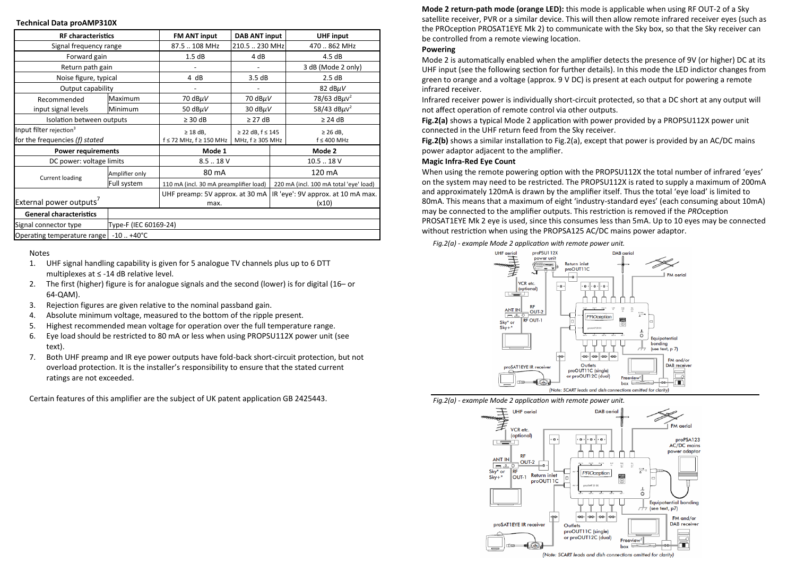### **Technical Data proAMP310X**

| <b>RF</b> characteristics           |                       | <b>FM ANT input</b>                    | <b>DAB ANT input</b>            |                                        | <b>UHF</b> input                            |  |
|-------------------------------------|-----------------------|----------------------------------------|---------------------------------|----------------------------------------|---------------------------------------------|--|
| Signal frequency range              |                       | 87.5  108 MHz                          | 210.5  230 MHz                  |                                        | 470  862 MHz                                |  |
| Forward gain                        |                       | 1.5dB                                  | 4 dB                            |                                        | 4.5dB                                       |  |
| Return path gain                    |                       |                                        |                                 |                                        | 3 dB (Mode 2 only)                          |  |
| Noise figure, typical               |                       | 4 dB                                   | 3.5dB                           |                                        | 2.5dB                                       |  |
| Output capability                   |                       |                                        |                                 |                                        | 82 $dB\mu V$                                |  |
| Recommended                         | Maximum               | 70 $dB\mu V$                           | 70 $dB\mu V$                    |                                        | 78/63 dB $\mu$ V <sup>2</sup>               |  |
| input signal levels                 | Minimum               | 50 $dB\mu V$                           | 30 $dB\mu V$                    |                                        | 58/43 dB $\mu$ V <sup>2</sup>               |  |
| Isolation between outputs           |                       | $\geq$ 30 dB                           | $\geq$ 27 dB                    |                                        | $\geq$ 24 dB                                |  |
| Input filter rejection <sup>3</sup> |                       | $\geq$ 18 dB.                          | ≥ 22 dB, $f \le 145$            |                                        | $\geq$ 26 dB.                               |  |
| for the frequencies (f) stated      |                       | f ≤ 72 MHz, f ≥ 150 MHz                | MHz, f ≥ 305 MHz                |                                        | $f \leq 400$ MHz                            |  |
| <b>Power requirements</b>           |                       | Mode 1                                 |                                 | Mode 2                                 |                                             |  |
| DC power: voltage limits            |                       | $8.5-.18V$                             |                                 | 10.518V                                |                                             |  |
| <b>Current loading</b>              | Amplifier only        | 80 mA                                  |                                 | 120 mA                                 |                                             |  |
|                                     | Full system           | 110 mA (incl. 30 mA preamplifier load) |                                 | 220 mA (incl. 100 mA total 'eye' load) |                                             |  |
| External power outputs'             |                       | max.                                   | UHF preamp: 5V approx. at 30 mA |                                        | IR 'eye': 9V approx. at 10 mA max.<br>(x10) |  |
| <b>General characteristics</b>      |                       |                                        |                                 |                                        |                                             |  |
| Signal connector type               | Type-F (IEC 60169-24) |                                        |                                 |                                        |                                             |  |
| Operating temperature range         | $-10$ $+40^{\circ}$ C |                                        |                                 |                                        |                                             |  |

Notes

- 1. UHF signal handling capability is given for 5 analogue TV channels plus up to 6 DTT multiplexes at ≤ -14 dB relative level.
- 2. The first (higher) figure is for analogue signals and the second (lower) is for digital (16– or 64-QAM).
- 3. Rejection figures are given relative to the nominal passband gain.
- 4. Absolute minimum voltage, measured to the bottom of the ripple present.
- 5. Highest recommended mean voltage for operation over the full temperature range.
- 6. Eye load should be restricted to 80 mA or less when using PROPSU112X power unit (see text).
- 7. Both UHF preamp and IR eye power outputs have fold-back short-circuit protection, but not overload protection. It is the installer's responsibility to ensure that the stated current ratings are not exceeded.

Certain features of this amplifier are the subject of UK patent application GB 2425443.

**Mode 2 return-path mode (orange LED):** this mode is applicable when using RF OUT-2 of a Sky satellite receiver, PVR or a similar device. This will then allow remote infrared receiver eyes (such as the PROception PROSAT1EYE Mk 2) to communicate with the Sky box, so that the Sky receiver can be controlled from a remote viewing location.

# **Powering**

Mode 2 is automatically enabled when the amplifier detects the presence of 9V (or higher) DC at its UHF input (see the following section for further details). In this mode the LED indictor changes from green to orange and a voltage (approx. 9 V DC) is present at each output for powering a remote infrared receiver.

Infrared receiver power is individually short-circuit protected, so that a DC short at any output will not affect operation of remote control via other outputs.

**Fig.2(a)** shows a typical Mode 2 application with power provided by a PROPSU112X power unit connected in the UHF return feed from the Sky receiver.

**Fig.2(b)** shows a similar installation to Fig.2(a), except that power is provided by an AC/DC mains power adaptor adjacent to the amplifier.

# **Magic Infra-Red Eye Count**

When using the remote powering option with the PROPSU112X the total number of infrared 'eyes' on the system may need to be restricted. The PROPSU112X is rated to supply a maximum of 200mA and approximately 120mA is drawn by the amplifier itself. Thus the total 'eye load' is limited to 80mA. This means that a maximum of eight 'industry-standard eyes' (each consuming about 10mA) may be connected to the amplifier outputs. This restriction is removed if the *PRO*ception PROSAT1EYE Mk 2 eye is used, since this consumes less than 5mA. Up to 10 eyes may be connected without restriction when using the PROPSA125 AC/DC mains power adaptor.

*Fig.2(a) - example Mode 2 application with remote power unit.*



*Fig.2(a) - example Mode 2 application with remote power unit.*